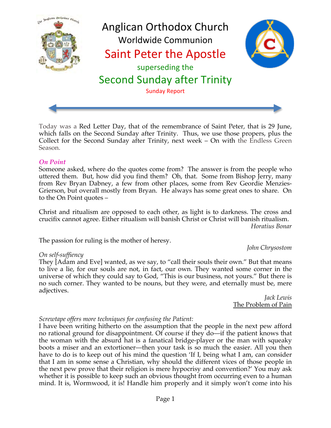

Today was a Red Letter Day, that of the remembrance of Saint Peter, that is 29 June, which falls on the Second Sunday after Trinity. Thus, we use those propers, plus the Collect for the Second Sunday after Trinity, next week – On with the Endless Green Season.

#### *On Point*

Someone asked, where do the quotes come from? The answer is from the people who uttered them. But, how did you find them? Oh, that. Some from Bishop Jerry, many from Rev Bryan Dabney, a few from other places, some from Rev Geordie Menzies-Grierson, but overall mostly from Bryan. He always has some great ones to share. On to the On Point quotes –

Christ and ritualism are opposed to each other, as light is to darkness. The cross and crucifix cannot agree. Either ritualism will banish Christ or Christ will banish ritualism. *Horatius Bonar*

The passion for ruling is the mother of heresy.

#### *On self-suffiency*

They [Adam and Eve] wanted, as we say, to "call their souls their own." But that means to live a lie, for our souls are not, in fact, our own. They wanted some corner in the universe of which they could say to God, "This is our business, not yours." But there is no such corner. They wanted to be nouns, but they were, and eternally must be, mere adjectives.

*Jack Lewis* The Problem of Pain

*John Chrysostom*

### *Screwtape offers more techniques for confusing the Patient:*

I have been writing hitherto on the assumption that the people in the next pew afford no rational ground for disappointment. Of course if they do—if the patient knows that the woman with the absurd hat is a fanatical bridge-player or the man with squeaky boots a miser and an extortioner—then your task is so much the easier. All you then have to do is to keep out of his mind the question 'If I, being what I am, can consider that I am in some sense a Christian, why should the different vices of those people in the next pew prove that their religion is mere hypocrisy and convention?' You may ask whether it is possible to keep such an obvious thought from occurring even to a human mind. It is, Wormwood, it is! Handle him properly and it simply won't come into his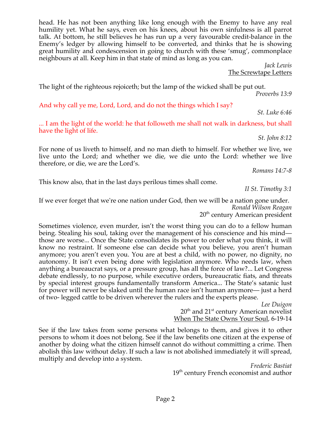head. He has not been anything like long enough with the Enemy to have any real humility yet. What he says, even on his knees, about his own sinfulness is all parrot talk. At bottom, he still believes he has run up a very favourable credit-balance in the Enemy's ledger by allowing himself to be converted, and thinks that he is showing great humility and condescension in going to church with these 'smug', commonplace neighbours at all. Keep him in that state of mind as long as you can.

> *Jack Lewis* The Screwtape Letters

The light of the righteous rejoiceth; but the lamp of the wicked shall be put out. *Proverbs 13:9*

And why call ye me, Lord, Lord, and do not the things which I say?

*St. Luke 6:46*

... I am the light of the world: he that followeth me shall not walk in darkness, but shall have the light of life.

*St. John 8:12*

For none of us liveth to himself, and no man dieth to himself. For whether we live, we live unto the Lord; and whether we die, we die unto the Lord: whether we live therefore, or die, we are the Lord's.

*Romans 14:7-8*

This know also, that in the last days perilous times shall come.

*II St. Timothy 3:1*

If we ever forget that we're one nation under God, then we will be a nation gone under. *Ronald Wilson Reagan* 20<sup>th</sup> century American president

Sometimes violence, even murder, isn't the worst thing you can do to a fellow human being. Stealing his soul, taking over the management of his conscience and his mind those are worse... Once the State consolidates its power to order what you think, it will know no restraint. If someone else can decide what you believe, you aren't human anymore; you aren't even you. You are at best a child, with no power, no dignity, no autonomy. It isn't even being done with legislation anymore. Who needs law, when anything a bureaucrat says, or a pressure group, has all the force of law?... Let Congress debate endlessly, to no purpose, while executive orders, bureaucratic fiats, and threats by special interest groups fundamentally transform America... The State's satanic lust for power will never be slaked until the human race isn't human anymore— just a herd of two- legged cattle to be driven wherever the rulers and the experts please.

> *Lee Duigon*  $20<sup>th</sup>$  and  $21<sup>st</sup>$  century American novelist When The State Owns Your Soul, 6-19-14

See if the law takes from some persons what belongs to them, and gives it to other persons to whom it does not belong. See if the law benefits one citizen at the expense of another by doing what the citizen himself cannot do without committing a crime. Then abolish this law without delay. If such a law is not abolished immediately it will spread, multiply and develop into a system.

*Frederic Bastiat* 19<sup>th</sup> century French economist and author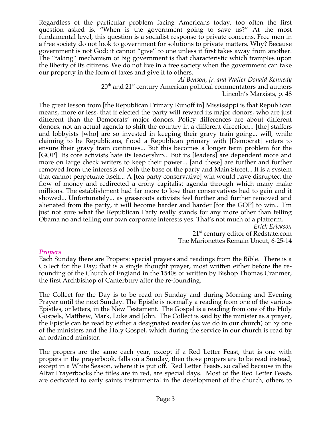Regardless of the particular problem facing Americans today, too often the first question asked is, "When is the government going to save us?" At the most fundamental level, this question is a socialist response to private concerns. Free men in a free society do not look to government for solutions to private matters. Why? Because government is not God; it cannot "give" to one unless it first takes away from another. The "taking" mechanism of big government is that characteristic which tramples upon the liberty of its citizens. We do not live in a free society when the government can take our property in the form of taxes and give it to others.

> *Al Benson, Jr. and Walter Donald Kennedy*  $20^{\text{th}}$  and  $21^{\text{st}}$  century American political commentators and authors Lincoln's Marxists, p. 48

The great lesson from [the Republican Primary Runoff in] Mississippi is that Republican means, more or less, that if elected the party will reward its major donors, who are just different than the Democrats' major donors. Policy differences are about different donors, not an actual agenda to shift the country in a different direction... [the] staffers and lobbyists [who] are so invested in keeping their gravy train going... will, while claiming to be Republicans, flood a Republican primary with [Democrat] voters to ensure their gravy train continues... But this becomes a longer term problem for the [GOP]. Its core activists hate its leadership... But its [leaders] are dependent more and more on large check writers to keep their power... [and these] are further and further removed from the interests of both the base of the party and Main Street... It is a system that cannot perpetuate itself... A [tea party conservative] win would have disrupted the flow of money and redirected a crony capitalist agenda through which many make millions. The establishment had far more to lose than conservatives had to gain and it showed... Unfortunately... as grassroots activists feel further and further removed and alienated from the party, it will become harder and harder [for the GOP] to win... I'm just not sure what the Republican Party really stands for any more other than telling Obama no and telling our own corporate interests yes. That's not much of a platform.

*Erick Erickson* 21<sup>st</sup> century editor of Redstate.com The Marionettes Remain Uncut, 6-25-14

### *Propers*

Each Sunday there are Propers: special prayers and readings from the Bible. There is a Collect for the Day; that is a single thought prayer, most written either before the refounding of the Church of England in the 1540s or written by Bishop Thomas Cranmer, the first Archbishop of Canterbury after the re-founding.

The Collect for the Day is to be read on Sunday and during Morning and Evening Prayer until the next Sunday. The Epistle is normally a reading from one of the various Epistles, or letters, in the New Testament. The Gospel is a reading from one of the Holy Gospels, Matthew, Mark, Luke and John. The Collect is said by the minister as a prayer, the Epistle can be read by either a designated reader (as we do in our church) or by one of the ministers and the Holy Gospel, which during the service in our church is read by an ordained minister.

The propers are the same each year, except if a Red Letter Feast, that is one with propers in the prayerbook, falls on a Sunday, then those propers are to be read instead, except in a White Season, where it is put off. Red Letter Feasts, so called because in the Altar Prayerbooks the titles are in red, are special days. Most of the Red Letter Feasts are dedicated to early saints instrumental in the development of the church, others to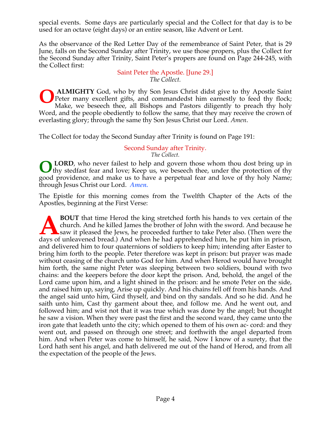special events. Some days are particularly special and the Collect for that day is to be used for an octave (eight days) or an entire season, like Advent or Lent.

As the observance of the Red Letter Day of the remembrance of Saint Peter, that is 29 June, falls on the Second Sunday after Trinity, we use those propers, plus the Collect for the Second Sunday after Trinity, Saint Peter's propers are found on Page 244-245, with the Collect first:

Saint Peter the Apostle. [June 29.] *The Collect.*

**ALMIGHTY** God, who by thy Son Jesus Christ didst give to thy Apostle Saint Peter many excellent gifts, and commandedst him earnestly to feed thy flock; Make, we beseech thee, all Bishops and Pastors diligently to preach thy holy Word, and the people obediently to follow the same, that they may receive the crown of everlasting glory; through the same thy Son Jesus Christ our Lord. *Amen*. **O**

The Collect for today the Second Sunday after Trinity is found on Page 191:

#### Second Sunday after Trinity. *The Collect.*

**LORD**, who never failest to help and govern those whom thou dost bring up in If thy stedfast fear and love; Keep us, we beseech thee, under the protection of thy good providence, and make us to have a perpetual fear and love of thy holy Name; through Jesus Christ our Lord. *Amen.* **O**

The Epistle for this morning comes from the Twelfth Chapter of the Acts of the Apostles, beginning at the First Verse:

**BOUT** that time Herod the king stretched forth his hands to vex certain of the church. And he killed James the brother of John with the sword. And because he saw it pleased the Jews, he proceeded further to take Peter also. (Then were the **BOUT** that time Herod the king stretched forth his hands to vex certain of the church. And he killed James the brother of John with the sword. And because he saw it pleased the Jews, he proceeded further to take Peter als and delivered him to four quaternions of soldiers to keep him; intending after Easter to bring him forth to the people. Peter therefore was kept in prison: but prayer was made without ceasing of the church unto God for him. And when Herod would have brought him forth, the same night Peter was sleeping between two soldiers, bound with two chains: and the keepers before the door kept the prison. And, behold, the angel of the Lord came upon him, and a light shined in the prison: and he smote Peter on the side, and raised him up, saying, Arise up quickly. And his chains fell off from his hands. And the angel said unto him, Gird thyself, and bind on thy sandals. And so he did. And he saith unto him, Cast thy garment about thee, and follow me. And he went out, and followed him; and wist not that it was true which was done by the angel; but thought he saw a vision. When they were past the first and the second ward, they came unto the iron gate that leadeth unto the city; which opened to them of his own ac- cord: and they went out, and passed on through one street; and forthwith the angel departed from him. And when Peter was come to himself, he said, Now I know of a surety, that the Lord hath sent his angel, and hath delivered me out of the hand of Herod, and from all the expectation of the people of the Jews.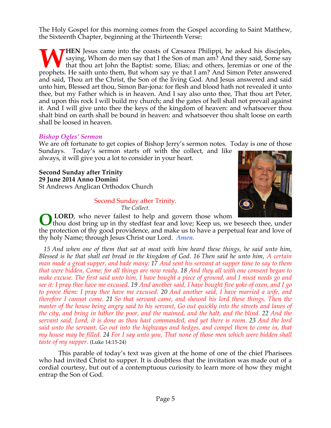The Holy Gospel for this morning comes from the Gospel according to Saint Matthew, the Sixteenth Chapter, beginning at the Thirteenth Verse:

**HEN** Jesus came into the coasts of Cæsarea Philippi, he asked his disciples, saying, Whom do men say that I the Son of man am? And they said, Some say that thou art John the Baptist: some, Elias; and others, Jeremias or one of the **WHEN** Jesus came into the coasts of Cæsarea Philippi, he asked his disciples, saying, Whom do men say that I the Son of man am? And they said, Some say that thou art John the Baptist: some, Elias; and others, Jeremias or and said, Thou art the Christ, the Son of the living God. And Jesus answered and said unto him, Blessed art thou, Simon Bar-jona: for flesh and blood hath not revealed it unto thee, but my Father which is in heaven. And I say also unto thee, That thou art Peter, and upon this rock I will build my church; and the gates of hell shall not prevail against it. And I will give unto thee the keys of the kingdom of heaven: and whatsoever thou shalt bind on earth shall be bound in heaven: and whatsoever thou shalt loose on earth shall be loosed in heaven.

### *Bishop Ogles' Sermon*

We are oft fortunate to get copies of Bishop Jerry's sermon notes. Today is one of those Sundays. Today's sermon starts off with the collect, and like always, it will give you a lot to consider in your heart.

**Second Sunday after Trinity 29 June 2014 Anno Domini** St Andrews Anglican Orthodox Church

#### Second Sunday after Trinity. *The Collect.*



**LORD**, who never failest to help and govern those whom

thou dost bring up in thy stedfast fear and love; Keep us, we beseech thee, under the protection of thy good providence, and make us to have a perpetual fear and love of thy holy Name; through Jesus Christ our Lord. *Amen.* **O**

 *15 And when one of them that sat at meat with him heard these things, he said unto him, Blessed is he that shall eat bread in the kingdom of God. 16 Then said he unto him, A certain man made a great supper, and bade many: 17 And sent his servant at supper time to say to them that were bidden, Come; for all things are now ready. 18 And they all with one consent began to make excuse. The first said unto him, I have bought a piece of ground, and I must needs go and see it: I pray thee have me excused. 19 And another said, I have bought five yoke of oxen, and I go to prove them: I pray thee have me excused. 20 And another said, I have married a wife, and therefore I cannot come. 21 So that servant came, and shewed his lord these things. Then the master of the house being angry said to his servant, Go out quickly into the streets and lanes of the city, and bring in hither the poor, and the maimed, and the halt, and the blind. 22 And the servant said, Lord, it is done as thou hast commanded, and yet there is room. 23 And the lord said unto the servant, Go out into the highways and hedges, and compel them to come in, that my house may be filled. 24 For I say unto you, That none of those men which were bidden shall taste of my supper.* (Luke 14:15-24)

This parable of today's text was given at the home of one of the chief Pharisees who had invited Christ to supper. It is doubtless that the invitation was made out of a cordial courtesy, but out of a contemptuous curiosity to learn more of how they might entrap the Son of God.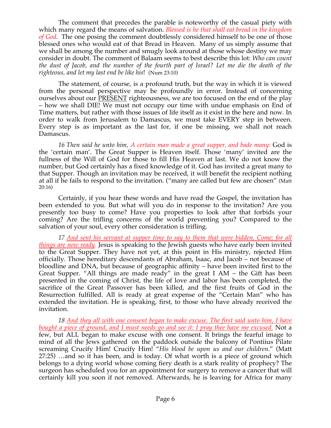The comment that precedes the parable is noteworthy of the casual piety with which many regard the means of salvation. *Blessed is he that shall eat bread in the kingdom of God.* The one posing the comment doubtlessly considered himself to be one of those blessed ones who would eat of that Bread in Heaven. Many of us simply assume that we shall be among the number and smugly look around at those whose destiny we may consider in doubt. The comment of Balaam seems to best describe this lot: *Who can count the dust of Jacob, and the number of the fourth part of Israel? Let me die the death of the righteous, and let my last end be like his*! (Num 23:10)

 The statement, of course, is a profound truth, but the way in which it is viewed from the personal perspective may be profoundly in error. Instead of concerning ourselves about our PRESENT righteousness, we are too focused on the end of the play – how we shall DIE! We must not occupy our time with undue emphasis on End of Time matters, but rather with those issues of life itself as it exist in the here and now. In order to walk from Jerusalem to Damascus, we must take EVERY step in between. Every step is as important as the last for, if one be missing, we shall not reach Damascus.

 *16 Then said he unto him, A certain man made a great supper, and bade many:* God is the 'certain man'. The Great Supper is Heaven itself. Those 'many' invited are the fullness of the Will of God for those to fill His Heaven at last. We do not know the number, but God certainly has a fixed knowledge of it. God has invited a great many to that Supper. Though an invitation may be received, it will benefit the recipient nothing at all if he fails to respond to the invitation. ("many are called but few are chosen" (Matt 20:16)

Certainly, if you hear these words and have read the Gospel, the invitation has been extended to you. But what will you do in response to the invitation? Are you presently too busy to come? Have you properties to look after that forbids your coming? Are the trifling concerns of the world preventing you? Compared to the salvation of your soul, every other consideration is trifling.

*17 And sent his servant at supper time to say to them that were bidden, Come; for all things are now ready.* Jesus is speaking to the Jewish guests who have early been invited to the Great Supper. They have not yet, at this point in His ministry, rejected Him officially. Those hereditary descendants of Abraham, Isaac, and Jacob – not because of bloodline and DNA, but because of geographic affinity – have been invited first to the Great Supper. "All things are made ready" in the great I AM – the Gift has been presented in the coming of Christ, the life of love and labor has been completed, the sacrifice of the Great Passover has been killed, and the first fruits of God in the Resurrection fulfilled. All is ready at great expense of the "Certain Man" who has extended the invitation. He is speaking, first, to those who have already received the invitation.

 *18 And they all with one consent began to make excuse. The first said unto him, I have bought a piece of ground, and I must needs go and see it: I pray thee have me excused.* Not a few, but ALL began to make excuse with one consent. It brings the fearful image to mind of all the Jews gathered on the paddock outside the balcony of Pontiius Pilate screaming Crucify Him! Crucify Him! "*His blood be upon us and our children*." (Matt 27:25) …and so it has been, and is today. Of what worth is a piece of ground which belongs to a dying world whose coming fiery death is a stark reality of prophecy? The surgeon has scheduled you for an appointment for surgery to remove a cancer that will certainly kill you soon if not removed. Afterwards, he is leaving for Africa for many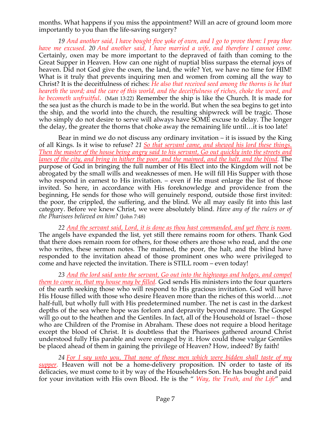months. What happens if you miss the appointment? Will an acre of ground loom more importantly to you than the life-saving surgery?

 *19 And another said, I have bought five yoke of oxen, and I go to prove them: I pray thee have me excused. 20 And another said, I have married a wife, and therefore I cannot come.* Certainly, oxen may be more important to the depraved of faith than coming to the Great Supper in Heaven. How can one night of nuptial bliss surpass the eternal joys of heaven. Did not God give the oxen, the land, the wife? Yet, we have no time for HIM! What is it truly that prevents inquiring men and women from coming all the way to Christ? It is the deceitfulness of riches: *He also that received seed among the thorns is he that heareth the word; and the care of this world, and the deceitfulness of riches, choke the word, and he becometh unfruitful*. (Matt 13:22) Remember the ship is like the Church. It is made for the sea just as the church is made to be in the world. But when the sea begins to get into the ship, and the world into the church, the resulting shipwreck will be tragic. Those who simply do not desire to serve will always have SOME excuse to delay. The longer the delay, the greater the thorns that choke away the remaining life until…it is too late!

 Bear in mind we do not discuss any ordinary invitation – it is issued by the King of all Kings. Is it wise to refuse? *21 So that servant came, and shewed his lord these things. Then the master of the house being angry said to his servant, Go out quickly into the streets and lanes of the city, and bring in hither the poor, and the maimed, and the halt, and the blind.* The purpose of God in bringing the full number of His Elect into the Kingdom will not be abrogated by the small wills and weaknesses of men. He will fill His Supper with those who respond in earnest to His invitation. – even if He must enlarge the list of those invited. So here, in accordance with His foreknowledge and providence from the beginning, He sends for those who will genuinely respond, outside those first invited: the poor, the crippled, the suffering, and the blind. We all may easily fit into this last category. Before we knew Christ, we were absolutely blind. *Have any of the rulers or of the Pharisees believed on him?* (John 7:48)

*22 And the servant said, Lord, it is done as thou hast commanded, and yet there is room.* The angels have expanded the list, yet still there remains room for others. Thank God that there does remain room for others, for those others are those who read, and the one who writes, these sermon notes. The maimed, the poor, the halt, and the blind have responded to the invitation ahead of those prominent ones who were privileged to come and have rejected the invitation. There is STILL room – even today!

*23 And the lord said unto the servant, Go out into the highways and hedges, and compel them to come in, that my house may be filled.* God sends His ministers into the four quarters of the earth seeking those who will respond to His gracious invitation. God will have His House filled with those who desire Heaven more than the riches of this world….not half-full, but wholly full with His predetermined number. The net is cast in the darkest depths of the sea where hope was forlorn and depravity beyond measure. The Gospel will go out to the heathen and the Gentiles. In fact, all of the Household of Israel – those who are Children of the Promise in Abraham. These does not require a blood heritage except the blood of Christ. It is doubtless that the Pharisees gathered around Christ understood fully His parable and were enraged by it. How could those vulgar Gentiles be placed ahead of them in gaining the privilege of Heaven? How, indeed? By faith!

*24 For I say unto you, That none of those men which were bidden shall taste of my supper.* Heaven will not be a home-delivery proposition. IN order to taste of its delicacies, we must come to it by way of the Householders Son. He has bought and paid for your invitation with His own Blood. He is the " *Way, the Truth, and the Life*" and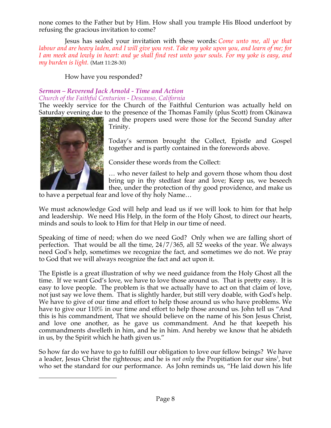none comes to the Father but by Him. How shall you trample His Blood underfoot by refusing the gracious invitation to come?

Jesus has sealed your invitation with these words: *Come unto me, all ye that labour and are heavy laden, and I will give you rest. Take my yoke upon you, and learn of me; for I am meek and lowly in heart: and ye shall find rest unto your souls. For my yoke is easy, and my burden is light.* (Matt 11:28-30)

# How have you responded?

# *Sermon – Reverend Jack Arnold - Time and Action Church of the Faithful Centurion - Descanso, California*

The weekly service for the Church of the Faithful Centurion was actually held on Saturday evening due to the presence of the Thomas Family (plus Scott) from Okinawa



 $\overline{a}$ 

and the propers used were those for the Second Sunday after Trinity.

Today's sermon brought the Collect, Epistle and Gospel together and is partly contained in the forewords above.

Consider these words from the Collect:

… who never failest to help and govern those whom thou dost bring up in thy stedfast fear and love; Keep us, we beseech thee, under the protection of thy good providence, and make us

to have a perpetual fear and love of thy holy Name…

We must acknowledge God will help and lead us if we will look to him for that help and leadership. We need His Help, in the form of the Holy Ghost, to direct our hearts, minds and souls to look to Him for that Help in our time of need.

Speaking of time of need; when do we need God? Only when we are falling short of perfection. That would be all the time, 24/7/365, all 52 weeks of the year. We always need God's help, sometimes we recognize the fact, and sometimes we do not. We pray to God that we will always recognize the fact and act upon it.

The Epistle is a great illustration of why we need guidance from the Holy Ghost all the time. If we want God's love, we have to love those around us. That is pretty easy. It is easy to love people. The problem is that we actually have to act on that claim of love, not just say we love them. That is slightly harder, but still very doable, with God's help. We have to give of our time and effort to help those around us who have problems. We have to give our 110% in our time and effort to help those around us. John tell us "And this is his commandment, That we should believe on the name of his Son Jesus Christ, and love one another, as he gave us commandment. And he that keepeth his commandments dwelleth in him, and he in him. And hereby we know that he abideth in us, by the Spirit which he hath given us."

So how far do we have to go to fulfill our obligation to love our fellow beings? We have a leader, Jesus Christ the righteous; and he is *not only* the Propitiation for our sins<sup>1</sup>, but who set the standard for our performance. As John reminds us, "He laid down his life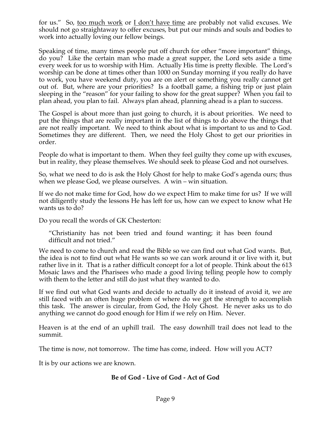for us." So, too much work or I don't have time are probably not valid excuses. We should not go straightaway to offer excuses, but put our minds and souls and bodies to work into actually loving our fellow beings.

Speaking of time, many times people put off church for other "more important" things, do you? Like the certain man who made a great supper, the Lord sets aside a time every week for us to worship with Him. Actually His time is pretty flexible. The Lord's worship can be done at times other than 1000 on Sunday morning if you really do have to work, you have weekend duty, you are on alert or something you really cannot get out of. But, where are your priorities? Is a football game, a fishing trip or just plain sleeping in the "reason" for your failing to show for the great supper? When you fail to plan ahead, you plan to fail. Always plan ahead, planning ahead is a plan to success.

The Gospel is about more than just going to church, it is about priorities. We need to put the things that are really important in the list of things to do above the things that are not really important. We need to think about what is important to us and to God. Sometimes they are different. Then, we need the Holy Ghost to get our priorities in order.

People do what is important to them. When they feel guilty they come up with excuses, but in reality, they please themselves. We should seek to please God and not ourselves.

So, what we need to do is ask the Holy Ghost for help to make God's agenda ours; thus when we please God, we please ourselves. A win – win situation.

If we do not make time for God, how do we expect Him to make time for us? If we will not diligently study the lessons He has left for us, how can we expect to know what He wants us to do?

Do you recall the words of GK Chesterton:

"Christianity has not been tried and found wanting; it has been found difficult and not tried."

We need to come to church and read the Bible so we can find out what God wants. But, the idea is not to find out what He wants so we can work around it or live with it, but rather live in it. That is a rather difficult concept for a lot of people. Think about the 613 Mosaic laws and the Pharisees who made a good living telling people how to comply with them to the letter and still do just what they wanted to do.

If we find out what God wants and decide to actually do it instead of avoid it, we are still faced with an often huge problem of where do we get the strength to accomplish this task. The answer is circular, from God, the Holy Ghost. He never asks us to do anything we cannot do good enough for Him if we rely on Him. Never.

Heaven is at the end of an uphill trail. The easy downhill trail does not lead to the summit.

The time is now, not tomorrow. The time has come, indeed. How will you ACT?

It is by our actions we are known.

## **Be of God - Live of God - Act of God**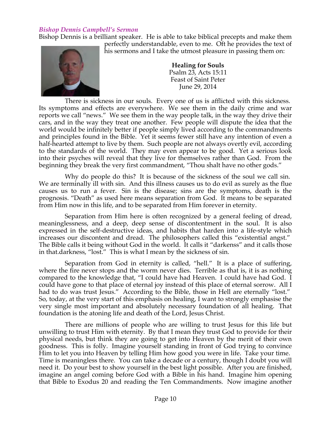### *Bishop Dennis Campbell's Sermon*

Bishop Dennis is a brilliant speaker. He is able to take biblical precepts and make them



perfectly understandable, even to me. Oft he provides the text of his sermons and I take the utmost pleasure in passing them on:

> **Healing for Souls** Psalm 23, Acts 15:11 Feast of Saint Peter June 29, 2014

There is sickness in our souls. Every one of us is afflicted with this sickness. Its symptoms and effects are everywhere. We see them in the daily crime and war reports we call "news." We see them in the way people talk, in the way they drive their cars, and in the way they treat one another. Few people will dispute the idea that the world would be infinitely better if people simply lived according to the commandments and principles found in the Bible. Yet it seems fewer still have any intention of even a half-hearted attempt to live by them. Such people are not always overtly evil, according to the standards of the world. They may even appear to be good. Yet a serious look into their psyches will reveal that they live for themselves rather than God. From the beginning they break the very first commandment, "Thou shalt have no other gods."

Why do people do this? It is because of the sickness of the soul we call sin. We are terminally ill with sin. And this illness causes us to do evil as surely as the flue causes us to run a fever. Sin is the disease; sins are the symptoms, death is the prognosis. "Death" as used here means separation from God. It means to be separated from Him now in this life, and to be separated from Him forever in eternity.

Separation from Him here is often recognized by a general feeling of dread, meaninglessness, and a deep, deep sense of discontentment in the soul. It is also expressed in the self-destructive ideas, and habits that harden into a life-style which increases our discontent and dread. The philosophers called this "existential angst." The Bible calls it being without God in the world. It calls it "darkenss" and it calls those in that.darkness, "lost." This is what I mean by the sickness of sin.

Separation from God in eternity is called, "hell." It is a place of suffering, where the fire never stops and the worm never dies. Terrible as that is, it is as nothing compared to the knowledge that, "I could have had Heaven. I could have had God. I could have gone to that place of eternal joy instead of this place of eternal sorrow. All I had to do was trust Jesus." According to the Bible, those in Hell are eternally "lost." So, today, at the very start of this emphasis on healing, I want to strongly emphasise the very single most important and absolutely necessary foundation of all healing. That foundation is the atoning life and death of the Lord, Jesus Christ.

There are millions of people who are willing to trust Jesus for this life but unwilling to trust Him with eternity. By that I mean they trust God to provide for their physical needs, but think they are going to get into Heaven by the merit of their own goodness. This is folly. Imagine yourself standing in front of God trying to convince Him to let you into Heaven by telling Him how good you were in life. Take your time. Time is meaningless there. You can take a decade or a century, though I doubt you will need it. Do your best to show yourself in the best light possible. After you are finished, imagine an angel coming before God with a Bible in his hand. Imagine him opening that Bible to Exodus 20 and reading the Ten Commandments. Now imagine another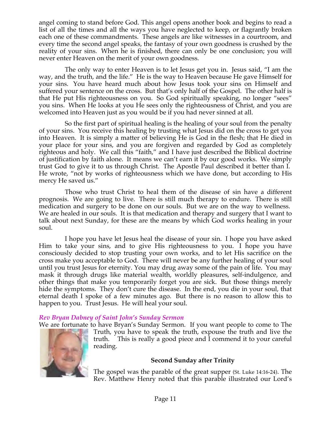angel coming to stand before God. This angel opens another book and begins to read a list of all the times and all the ways you have neglected to keep, or flagrantly broken each one of these commandments. These angels are like witnesses in a courtroom, and every time the second angel speaks, the fantasy of your own goodness is crushed by the reality of your sins. When he is finished, there can only be one conclusion; you will never enter Heaven on the merit of your own goodness.

The only way to enter Heaven is to let Jesus get you in. Jesus said, "I am the way, and the truth, and the life." He is the way to Heaven because He gave Himself for your sins. You have heard much about how Jesus took your sins on Himself and suffered your sentence on the cross. But that's only half of the Gospel. The other half is that He put His righteousness on you. So God spiritually speaking, no longer "sees" you sins. When He looks at you He sees only the righteousness of Christ, and you are welcomed into Heaven just as you would be if you had never sinned at all.

So the first part of spiritual healing is the healing of your soul from the penalty of your sins. You receive this healing by trusting what Jesus did on the cross to get you into Heaven. It is simply a matter of believing He is God in the flesh; that He died in your place for your sins, and you are forgiven and regarded by God as completely righteous and holy. We call this "faith," and I have just described the Biblical doctrine of justification by faith alone. It means we can't earn it by our good works. We simply trust God to give it to us through Christ. The Apostle Paul described it better than I. He wrote, "not by works of righteousness which we have done, but according to His mercy He saved us."

Those who trust Christ to heal them of the disease of sin have a different prognosis. We are going to live. There is still much therapy to endure. There is still medication and surgery to be done on our souls. But we are on the way to wellness. We are healed in our souls. It is that medication and therapy and surgery that I want to talk about next Sunday, for these are the means by which God works healing in your soul.

I hope you have let Jesus heal the disease of your sin. I hope you have asked Him to take your sins, and to give His righteousness to you. I hope you have consciously decided to stop trusting your own works, and to let His sacrifice on the cross make you acceptable to God. There will never be any further healing of your soul until you trust Jesus for eternity. You may drug away some of the pain of life. You may mask it through drugs like material wealth, worldly pleasures, self-indulgence, and other things that make you temporarily forget you are sick. But those things merely hide the symptoms. They don't cure the disease. In the end, you die in your soul, that eternal death I spoke of a few minutes ago. But there is no reason to allow this to happen to you. Trust Jesus. He will heal your soul.

## *Rev Bryan Dabney of Saint John's Sunday Sermon*

We are fortunate to have Bryan's Sunday Sermon. If you want people to come to The



Truth, you have to speak the truth, expouse the truth and live the truth. This is really a good piece and I commend it to your careful reading.

### **Second Sunday after Trinity**

The gospel was the parable of the great supper (St. Luke 14:16-24). The Rev. Matthew Henry noted that this parable illustrated our Lord's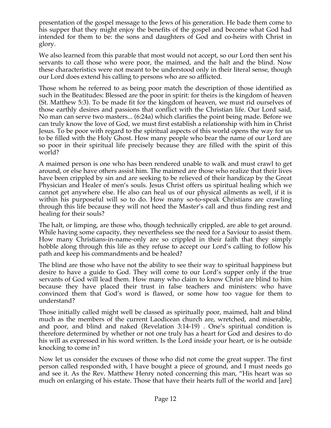presentation of the gospel message to the Jews of his generation. He bade them come to his supper that they might enjoy the benefits of the gospel and become what God had intended for them to be: the sons and daughters of God and co-heirs with Christ in glory.

We also learned from this parable that most would not accept, so our Lord then sent his servants to call those who were poor, the maimed, and the halt and the blind. Now these characteristics were not meant to be understood only in their literal sense, though our Lord does extend his calling to persons who are so afflicted.

Those whom he referred to as being poor match the description of those identified as such in the Beatitudes: Blessed are the poor in spirit: for theirs is the kingdom of heaven (St. Matthew 5:3). To be made fit for the kingdom of heaven, we must rid ourselves of those earthly desires and passions that conflict with the Christian life. Our Lord said, No man can serve two masters... (6:24a) which clarifies the point being made. Before we can truly know the love of God, we must first establish a relationship with him in Christ Jesus. To be poor with regard to the spiritual aspects of this world opens the way for us to be filled with the Holy Ghost. How many people who bear the name of our Lord are so poor in their spiritual life precisely because they are filled with the spirit of this world?

A maimed person is one who has been rendered unable to walk and must crawl to get around, or else have others assist him. The maimed are those who realize that their lives have been crippled by sin and are seeking to be relieved of their handicap by the Great Physician and Healer of men's souls. Jesus Christ offers us spiritual healing which we cannot get anywhere else. He also can heal us of our physical ailments as well, if it is within his purposeful will so to do. How many so-to-speak Christians are crawling through this life because they will not heed the Master's call and thus finding rest and healing for their souls?

The halt, or limping, are those who, though technically crippled, are able to get around. While having some capacity, they nevertheless see the need for a Saviour to assist them. How many Christians-in-name-only are so crippled in their faith that they simply hobble along through this life as they refuse to accept our Lord's calling to follow his path and keep his commandments and be healed?

The blind are those who have not the ability to see their way to spiritual happiness but desire to have a guide to God. They will come to our Lord's supper only if the true servants of God will lead them. How many who claim to know Christ are blind to him because they have placed their trust in false teachers and ministers: who have convinced them that God's word is flawed, or some how too vague for them to understand?

Those initially called might well be classed as spiritually poor, maimed, halt and blind much as the members of the current Laodicean church are, wretched, and miserable, and poor, and blind and naked (Revelation 3:14-19) . One's spiritual condition is therefore determined by whether or not one truly has a heart for God and desires to do his will as expressed in his word written. Is the Lord inside your heart, or is he outside knocking to come in?

Now let us consider the excuses of those who did not come the great supper. The first person called responded with, I have bought a piece of ground, and I must needs go and see it. As the Rev. Matthew Henry noted concerning this man, "His heart was so much on enlarging of his estate. Those that have their hearts full of the world and [are]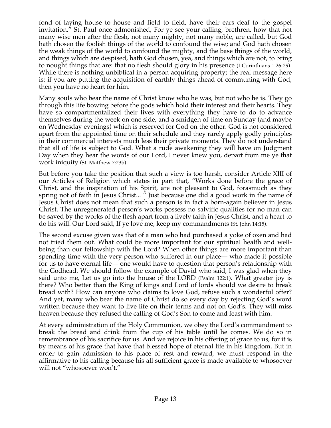fond of laying house to house and field to field, have their ears deaf to the gospel invitation." St. Paul once admonished, For ye see your calling, brethren, how that not many wise men after the flesh, not many mighty, not many noble, are called, but God hath chosen the foolish things of the world to confound the wise; and God hath chosen the weak things of the world to confound the mighty, and the base things of the world, and things which are despised, hath God chosen, yea, and things which are not, to bring to nought things that are: that no flesh should glory in his presence (I Corinthians 1:26-29). While there is nothing unbiblical in a person acquiring property; the real message here is: if you are putting the acquisition of earthly things ahead of communing with God, then you have no heart for him.

Many souls who bear the name of Christ know who he was, but not who he is. They go through this life bowing before the gods which hold their interest and their hearts. They have so compartmentalized their lives with everything they have to do to advance themselves during the week on one side, and a smidgen of time on Sunday (and maybe on Wednesday evenings) which is reserved for God on the other. God is not considered apart from the appointed time on their schedule and they rarely apply godly principles in their commercial interests much less their private moments. They do not understand that all of life is subject to God. What a rude awakening they will have on Judgment Day when they hear the words of our Lord, I never knew you, depart from me ye that work iniquity (St. Matthew 7:23b).

But before you take the position that such a view is too harsh, consider Article XIII of our Articles of Religion which states in part that, "Works done before the grace of Christ, and the inspiration of his Spirit, are not pleasant to God, forasmuch as they spring not of faith in Jesus Christ... " Just because one did a good work in the name of Jesus Christ does not mean that such a person is in fact a born-again believer in Jesus Christ. The unregenerated person's works possess no salvific qualities for no man can be saved by the works of the flesh apart from a lively faith in Jesus Christ, and a heart to do his will. Our Lord said, If ye love me, keep my commandments (St. John 14:15).

The second excuse given was that of a man who had purchased a yoke of oxen and had not tried them out. What could be more important for our spiritual health and wellbeing than our fellowship with the Lord? When other things are more important than spending time with the very person who suffered in our place— who made it possible for us to have eternal life— one would have to question that person's relationship with the Godhead. We should follow the example of David who said, I was glad when they said unto me, Let us go into the house of the LORD (Psalm 122:1). What greater joy is there? Who better than the King of kings and Lord of lords should we desire to break bread with? How can anyone who claims to love God, refuse such a wonderful offer? And yet, many who bear the name of Christ do so every day by rejecting God's word written because they want to live life on their terms and not on God's. They will miss heaven because they refused the calling of God's Son to come and feast with him.

At every administration of the Holy Communion, we obey the Lord's commandment to break the bread and drink from the cup of his table until he comes. We do so in remembrance of his sacrifice for us. And we rejoice in his offering of grace to us, for it is by means of his grace that have that blessed hope of eternal life in his kingdom. But in order to gain admission to his place of rest and reward, we must respond in the affirmative to his calling because his all sufficient grace is made available to whosoever will not "whosoever won't."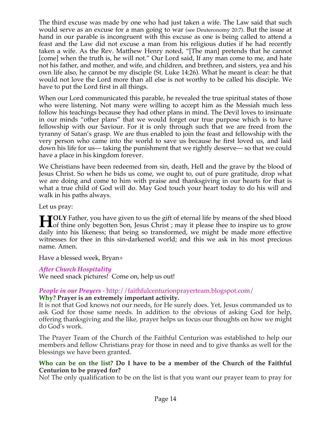The third excuse was made by one who had just taken a wife. The Law said that such would serve as an excuse for a man going to war (see Deuteronomy 20:7). But the issue at hand in our parable is incongruent with this excuse as one is being called to attend a feast and the Law did not excuse a man from his religious duties if he had recently taken a wife. As the Rev. Matthew Henry noted, "[The man] pretends that he cannot [come] when the truth is, he will not." Our Lord said, If any man come to me, and hate not his father, and mother, and wife, and children, and brethren, and sisters, yea and his own life also, he cannot be my disciple (St. Luke 14:26). What he meant is clear: he that would not love the Lord more than all else is not worthy to be called his disciple. We have to put the Lord first in all things.

When our Lord communicated this parable, he revealed the true spiritual states of those who were listening. Not many were willing to accept him as the Messiah much less follow his teachings because they had other plans in mind. The Devil loves to insinuate in our minds "other plans" that we would forget our true purpose which is to have fellowship with our Saviour. For it is only through such that we are freed from the tyranny of Satan's grasp. We are thus enabled to join the feast and fellowship with the very person who came into the world to save us because he first loved us, and laid down his life for us— taking the punishment that we rightly deserve— so that we could have a place in his kingdom forever.

We Christians have been redeemed from sin, death, Hell and the grave by the blood of Jesus Christ. So when he bids us come, we ought to, out of pure gratitude, drop what we are doing and come to him with praise and thanksgiving in our hearts for that is what a true child of God will do. May God touch your heart today to do his will and walk in his paths always.

Let us pray:

**TOLY** Father, you have given to us the gift of eternal life by means of the shed blood **HOLY** Father, you have given to us the gift of eternal life by means of the shed blood of thine only begotten Son, Jesus Christ ; may it please thee to inspire us to grow that it is the literature of the literature of the daily into his likeness; that being so transformed, we might be made more effective witnesses for thee in this sin-darkened world; and this we ask in his most precious name. Amen.

Have a blessed week, Bryan+

## *After Church Hospitality*

We need snack pictures! Come on, help us out!

#### *People in our Prayers* - http://faithfulcenturionprayerteam.blogspot.com/ **Why? Prayer is an extremely important activity.**

It is not that God knows not our needs, for He surely does. Yet, Jesus commanded us to ask God for those same needs. In addition to the obvious of asking God for help, offering thanksgiving and the like, prayer helps us focus our thoughts on how we might do God's work.

The Prayer Team of the Church of the Faithful Centurion was established to help our members and fellow Christians pray for those in need and to give thanks as well for the blessings we have been granted.

### **Who can be on the list? Do I have to be a member of the Church of the Faithful Centurion to be prayed for?**

No! The only qualification to be on the list is that you want our prayer team to pray for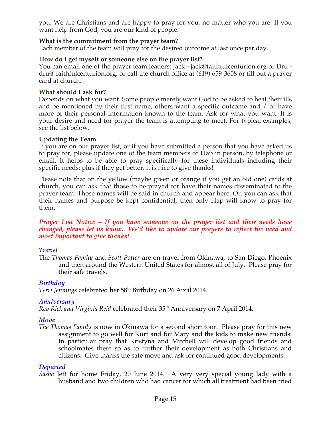you. We are Christians and are happy to pray for you, no matter who you are. If you want help from God, you are our kind of people.

### **What is the commitment from the prayer team?**

Each member of the team will pray for the desired outcome at last once per day.

### **How do I get myself or someone else on the prayer list?**

You can email one of the prayer team leaders: Jack - jack@faithfulcenturion.org or Dru dru@ faithfulcenturion.org, or call the church office at (619) 659-3608 or fill out a prayer card at church.

### **What should I ask for?**

Depends on what you want. Some people merely want God to be asked to heal their ills and be mentioned by their first name, others want a specific outcome and / or have more of their personal information known to the team. Ask for what you want. It is your desire and need for prayer the team is attempting to meet. For typical examples, see the list below.

### **Updating the Team**

If you are on our prayer list, or if you have submitted a person that you have asked us to pray for, please update one of the team members or Hap in person, by telephone or email. It helps to be able to pray specifically for these individuals including their specific needs; plus if they get better, it is nice to give thanks!

Please note that on the yellow (maybe green or orange if you get an old one) cards at church, you can ask that those to be prayed for have their names disseminated to the prayer team. Those names will be said in church and appear here. Or, you can ask that their names and purpose be kept confidential, then only Hap will know to pray for them.

#### *Prayer List Notice – If you have someone on the prayer list and their needs have changed, please let us know. We'd like to update our prayers to reflect the need and most important to give thanks!*

## *Travel*

The *Thomas Family* and *Scott Potter* are on travel from Okinawa, to San Diego, Phoenix and then around the Western United States for almost all of July. Please pray for their safe travels.

## *Birthday*

Terri Jennings celebrated her 58<sup>th</sup> Birthday on 26 April 2014.

### *Anniversary*

*Rev Rick and Virginia Reid* celebrated their 35th Anniversary on 7 April 2014.

## *Move*

*The Thomas Family* is now in Okinawa for a second short tour. Please pray for this new assignment to go well for Kurt and for Mary and the kids to make new friends. In particular pray that Kristyna and Mitchell will develop good friends and schoolmates there so as to further their development as both Christians and citizens. Give thanks the safe move and ask for continued good developments.

### *Departed*

*Sasha* left for home Friday, 20 June 2014. A very very special young lady with a husband and two children who had cancer for which all treatment had been tried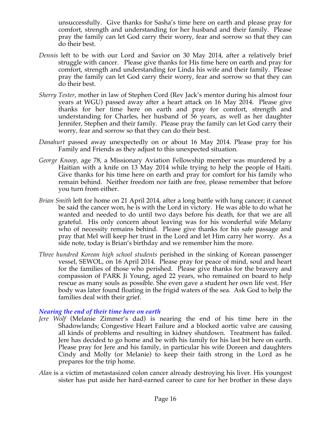unsuccessfully. Give thanks for Sasha's time here on earth and please pray for comfort, strength and understanding for her husband and their family. Please pray the family can let God carry their worry, fear and sorrow so that they can do their best.

- *Dennis* left to be with our Lord and Savior on 30 May 2014, after a relatively brief struggle with cancer. Please give thanks for His time here on earth and pray for comfort, strength and understanding for Linda his wife and their family. Please pray the family can let God carry their worry, fear and sorrow so that they can do their best.
- *Sherry Tester*, mother in law of Stephen Cord (Rev Jack's mentor during his almost four years at WGU) passed away after a heart attack on 16 May 2014. Please give thanks for her time here on earth and pray for comfort, strength and understanding for Charles, her husband of 56 years, as well as her daughter Jennifer, Stephen and their family. Please pray the family can let God carry their worry, fear and sorrow so that they can do their best.
- *Danahurt* passed away unexpectedly on or about 16 May 2014. Please pray for his Family and Friends as they adjust to this unexpected situation*.*
- *George Knoop,* age 78, a Missionary Aviation Fellowship member was murdered by a Haitian with a knife on 13 May 2014 while trying to help the people of Haiti. Give thanks for his time here on earth and pray for comfort for his family who remain behind. Neither freedom nor faith are free, please remember that before you turn from either.
- *Brian Smith* left for home on 21 April 2014, after a long battle with lung cancer; it cannot be said the cancer won, he is with the Lord in victory. He was able to do what he wanted and needed to do until two days before his death, for that we are all grateful. His only concern about leaving was for his wonderful wife Melany who of necessity remains behind. Please give thanks for his safe passage and pray that Mel will keep her trust in the Lord and let Him carry her worry. As a side note, today is Brian's birthday and we remember him the more.
- *Three hundred Korean high school students* perished in the sinking of Korean passenger vessel, SEWOL, on 16 April 2014. Please pray for peace of mind, soul and heart for the families of those who perished. Please give thanks for the bravery and compassion of PARK Ji Young, aged 22 years, who remained on board to help rescue as many souls as possible. She even gave a student her own life vest. Her body was later found floating in the frigid waters of the sea. Ask God to help the families deal with their grief.

### *Nearing the end of their time here on earth*

- *Jere Wolf* (Melanie Zimmer's dad) is nearing the end of his time here in the Shadowlands; Congestive Heart Failure and a blocked aortic valve are causing all kinds of problems and resulting in kidney shutdown. Treatment has failed. Jere has decided to go home and be with his family for his last bit here on earth. Please pray for Jere and his family, in particular his wife Doreen and daughters Cindy and Molly (or Melanie) to keep their faith strong in the Lord as he prepares for the trip home.
- *Alan* is a victim of metastasized colon cancer already destroying his liver. His youngest sister has put aside her hard-earned career to care for her brother in these days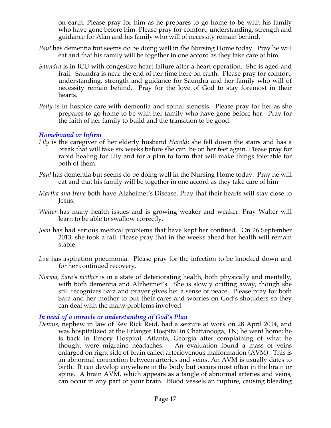on earth. Please pray for him as he prepares to go home to be with his family who have gone before him. Please pray for comfort, understanding, strength and guidance for Alan and his family who will of necessity remain behind.

- *Paul* has dementia but seems do be doing well in the Nursing Home today. Pray he will eat and that his family will be together in one accord as they take care of him
- *Saundra* is in ICU with congestive heart failure after a heart operation. She is aged and frail. Saundra is near the end of her time here on earth. Please pray for comfort, understanding, strength and guidance for Saundra and her family who will of necessity remain behind. Pray for the love of God to stay foremost in their hearts.
- *Polly* is in hospice care with dementia and spinal stenosis. Please pray for her as she prepares to go home to be with her family who have gone before her. Pray for the faith of her family to build and the transition to be good.

### *Homebound or Infirm*

- *Lily* is the caregiver of her elderly husband *Harold*; she fell down the stairs and has a break that will take six weeks before she can be on her feet again. Please pray for rapid healing for Lily and for a plan to form that will make things tolerable for both of them.
- *Paul* has dementia but seems do be doing well in the Nursing Home today. Pray he will eat and that his family will be together in one accord as they take care of him
- *Martha and Irene* both have Alzheimer's Disease. Pray that their hearts will stay close to Jesus.
- *Walter* has many health issues and is growing weaker and weaker. Pray Walter will learn to be able to swallow correctly.
- *Joan* has had serious medical problems that have kept her confined. On 26 September 2013, she took a fall. Please pray that in the weeks ahead her health will remain stable.
- *Lou* has aspiration pneumonia. Please pray for the infection to be knocked down and for her continued recovery.
- *Norma, Sara's mother* is in a state of deteriorating health, both physically and mentally, with both dementia and Alzheimer's. She is slowly drifting away, though she still recognizes Sara and prayer gives her a sense of peace. Please pray for both Sara and her mother to put their cares and worries on God's shoulders so they can deal with the many problems involved.

## *In need of a miracle or understanding of God's Plan*

*Dennis*, nephew in law of Rev Rick Reid, had a seizure at work on 28 April 2014, and was hospitalized at the Erlanger Hospital in Chattanooga, TN; he went home; he is back in Emory Hospital, Atlanta, Georgia after complaining of what he thought were migraine headaches. An evaluation found a mass of veins enlarged on right side of brain called arteriovenous malformation (AVM). This is an abnormal connection between arteries and veins. An AVM is usually dates to birth. It can develop anywhere in the body but occurs most often in the brain or spine. A brain AVM, which appears as a tangle of abnormal arteries and veins, can occur in any part of your brain. Blood vessels an rupture, causing bleeding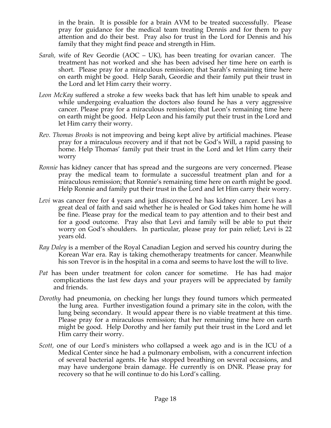in the brain. It is possible for a brain AVM to be treated successfully. Please pray for guidance for the medical team treating Dennis and for them to pay attention and do their best. Pray also for trust in the Lord for Dennis and his family that they might find peace and strength in Him.

- *Sarah,* wife of Rev Geordie (AOC UK), has been treating for ovarian cancer. The treatment has not worked and she has been advised her time here on earth is short. Please pray for a miraculous remission; that Sarah's remaining time here on earth might be good. Help Sarah, Geordie and their family put their trust in the Lord and let Him carry their worry.
- *Leon McKay* suffered a stroke a few weeks back that has left him unable to speak and while undergoing evaluation the doctors also found he has a very aggressive cancer. Please pray for a miraculous remission; that Leon's remaining time here on earth might be good. Help Leon and his family put their trust in the Lord and let Him carry their worry.
- *Rev. Thomas Brooks* is not improving and being kept alive by artificial machines. Please pray for a miraculous recovery and if that not be God's Will, a rapid passing to home. Help Thomas' family put their trust in the Lord and let Him carry their worry
- *Ronnie* has kidney cancer that has spread and the surgeons are very concerned. Please pray the medical team to formulate a successful treatment plan and for a miraculous remission; that Ronnie's remaining time here on earth might be good. Help Ronnie and family put their trust in the Lord and let Him carry their worry.
- *Levi* was cancer free for 4 years and just discovered he has kidney cancer. Levi has a great deal of faith and said whether he is healed or God takes him home he will be fine. Please pray for the medical team to pay attention and to their best and for a good outcome. Pray also that Levi and family will be able to put their worry on God's shoulders. In particular, please pray for pain relief; Levi is 22 years old.
- *Ray Daley* is a member of the Royal Canadian Legion and served his country during the Korean War era. Ray is taking chemotherapy treatments for cancer. Meanwhile his son Trevor is in the hospital in a coma and seems to have lost the will to live.
- *Pat* has been under treatment for colon cancer for sometime. He has had major complications the last few days and your prayers will be appreciated by family and friends.
- *Dorothy* had pneumonia, on checking her lungs they found tumors which permeated the lung area. Further investigation found a primary site in the colon, with the lung being secondary. It would appear there is no viable treatment at this time. Please pray for a miraculous remission; that her remaining time here on earth might be good. Help Dorothy and her family put their trust in the Lord and let Him carry their worry.
- *Scott,* one of our Lord's ministers who collapsed a week ago and is in the ICU of a Medical Center since he had a pulmonary embolism, with a concurrent infection of several bacterial agents. He has stopped breathing on several occasions, and may have undergone brain damage. He currently is on DNR. Please pray for recovery so that he will continue to do his Lord's calling*.*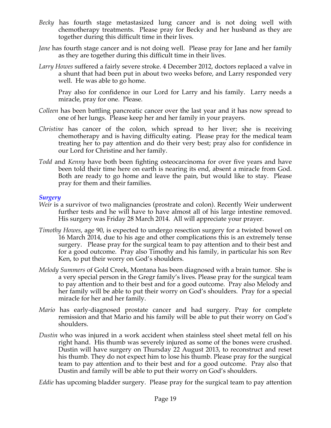- *Becky* has fourth stage metastasized lung cancer and is not doing well with chemotherapy treatments. Please pray for Becky and her husband as they are together during this difficult time in their lives.
- *Jane* has fourth stage cancer and is not doing well. Please pray for Jane and her family as they are together during this difficult time in their lives.
- *Larry Howes* suffered a fairly severe stroke. 4 December 2012, doctors replaced a valve in a shunt that had been put in about two weeks before, and Larry responded very well. He was able to go home.

Pray also for confidence in our Lord for Larry and his family. Larry needs a miracle, pray for one. Please.

- *Colleen* has been battling pancreatic cancer over the last year and it has now spread to one of her lungs. Please keep her and her family in your prayers.
- *Christine* has cancer of the colon, which spread to her liver; she is receiving chemotherapy and is having difficulty eating. Please pray for the medical team treating her to pay attention and do their very best; pray also for confidence in our Lord for Christine and her family.
- *Todd* and *Kenny* have both been fighting osteocarcinoma for over five years and have been told their time here on earth is nearing its end, absent a miracle from God. Both are ready to go home and leave the pain, but would like to stay. Please pray for them and their families.

### *Surgery*

- *Weir* is a survivor of two malignancies (prostrate and colon). Recently Weir underwent further tests and he will have to have almost all of his large intestine removed. His surgery was Friday 28 March 2014. All will appreciate your prayer.
- *Timothy Howes*, age 90, is expected to undergo resection surgery for a twisted bowel on 16 March 2014, due to his age and other complications this is an extremely tense surgery. Please pray for the surgical team to pay attention and to their best and for a good outcome. Pray also Timothy and his family, in particular his son Rev Ken, to put their worry on God's shoulders.
- *Melody Summers* of Gold Creek, Montana has been diagnosed with a brain tumor. She is a very special person in the Gregr family's lives. Please pray for the surgical team to pay attention and to their best and for a good outcome. Pray also Melody and her family will be able to put their worry on God's shoulders. Pray for a special miracle for her and her family.
- *Mario* has early-diagnosed prostate cancer and had surgery. Pray for complete remission and that Mario and his family will be able to put their worry on God's shoulders.
- *Dustin* who was injured in a work accident when stainless steel sheet metal fell on his right hand. His thumb was severely injured as some of the bones were crushed. Dustin will have surgery on Thursday 22 August 2013, to reconstruct and reset his thumb. They do not expect him to lose his thumb. Please pray for the surgical team to pay attention and to their best and for a good outcome. Pray also that Dustin and family will be able to put their worry on God's shoulders.

*Eddie* has upcoming bladder surgery. Please pray for the surgical team to pay attention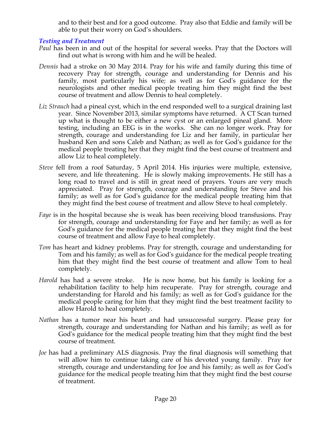and to their best and for a good outcome. Pray also that Eddie and family will be able to put their worry on God's shoulders.

## *Testing and Treatment*

- *Paul* has been in and out of the hospital for several weeks. Pray that the Doctors will find out what is wrong with him and he will be healed.
- *Dennis* had a stroke on 30 May 2014. Pray for his wife and family during this time of recovery Pray for strength, courage and understanding for Dennis and his family, most particularly his wife; as well as for God's guidance for the neurologists and other medical people treating him they might find the best course of treatment and allow Dennis to heal completely.
- *Liz Strauch* had a pineal cyst, which in the end responded well to a surgical draining last year. Since November 2013, similar symptoms have returned. A CT Scan turned up what is thought to be either a new cyst or an enlarged pineal gland. More testing, including an EEG is in the works. She can no longer work. Pray for strength, courage and understanding for Liz and her family, in particular her husband Ken and sons Caleb and Nathan; as well as for God's guidance for the medical people treating her that they might find the best course of treatment and allow Liz to heal completely.
- *Steve* fell from a roof Saturday, 5 April 2014. His injuries were multiple, extensive, severe, and life threatening. He is slowly making improvements. He still has a long road to travel and is still in great need of prayers. Yours are very much appreciated. Pray for strength, courage and understanding for Steve and his family; as well as for God's guidance for the medical people treating him that they might find the best course of treatment and allow Steve to heal completely.
- *Faye* is in the hospital because she is weak has been receiving blood transfusions. Pray for strength, courage and understanding for Faye and her family; as well as for God's guidance for the medical people treating her that they might find the best course of treatment and allow Faye to heal completely.
- *Tom* has heart and kidney problems. Pray for strength, courage and understanding for Tom and his family; as well as for God's guidance for the medical people treating him that they might find the best course of treatment and allow Tom to heal completely.
- *Harold* has had a severe stroke. He is now home, but his family is looking for a rehabilitation facility to help him recuperate. Pray for strength, courage and understanding for Harold and his family; as well as for God's guidance for the medical people caring for him that they might find the best treatment facility to allow Harold to heal completely.
- *Nathan* has a tumor near his heart and had unsuccessful surgery. Please pray for strength, courage and understanding for Nathan and his family; as well as for God's guidance for the medical people treating him that they might find the best course of treatment.
- *Joe* has had a preliminary ALS diagnosis. Pray the final diagnosis will something that will allow him to continue taking care of his devoted young family. Pray for strength, courage and understanding for Joe and his family; as well as for God's guidance for the medical people treating him that they might find the best course of treatment.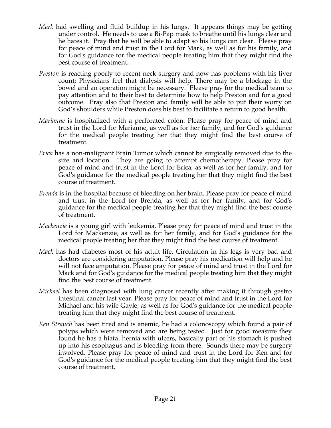- *Mark* had swelling and fluid buildup in his lungs. It appears things may be getting under control. He needs to use a Bi-Pap mask to breathe until his lungs clear and he hates it. Pray that he will be able to adapt so his lungs can clear. Please pray for peace of mind and trust in the Lord for Mark, as well as for his family, and for God's guidance for the medical people treating him that they might find the best course of treatment.
- *Preston* is reacting poorly to recent neck surgery and now has problems with his liver count; Physicians feel that dialysis will help. There may be a blockage in the bowel and an operation might be necessary. Please pray for the medical team to pay attention and to their best to determine how to help Preston and for a good outcome. Pray also that Preston and family will be able to put their worry on God's shoulders while Preston does his best to facilitate a return to good health.
- *Marianne* is hospitalized with a perforated colon. Please pray for peace of mind and trust in the Lord for Marianne, as well as for her family, and for God's guidance for the medical people treating her that they might find the best course of treatment.
- *Erica* has a non-malignant Brain Tumor which cannot be surgically removed due to the size and location. They are going to attempt chemotherapy. Please pray for peace of mind and trust in the Lord for Erica, as well as for her family, and for God's guidance for the medical people treating her that they might find the best course of treatment.
- *Brenda* is in the hospital because of bleeding on her brain. Please pray for peace of mind and trust in the Lord for Brenda, as well as for her family, and for God's guidance for the medical people treating her that they might find the best course of treatment.
- *Mackenzie* is a young girl with leukemia. Please pray for peace of mind and trust in the Lord for Mackenzie, as well as for her family, and for God's guidance for the medical people treating her that they might find the best course of treatment.
- *Mack* has had diabetes most of his adult life. Circulation in his legs is very bad and doctors are considering amputation. Please pray his medication will help and he will not face amputation. Please pray for peace of mind and trust in the Lord for Mack and for God's guidance for the medical people treating him that they might find the best course of treatment.
- *Michael* has been diagnosed with lung cancer recently after making it through gastro intestinal cancer last year. Please pray for peace of mind and trust in the Lord for Michael and his wife Gayle; as well as for God's guidance for the medical people treating him that they might find the best course of treatment.
- *Ken Strauch* has been tired and is anemic, he had a colonoscopy which found a pair of polyps which were removed and are being tested. Just for good measure they found he has a hiatal hernia with ulcers, basically part of his stomach is pushed up into his esophagus and is bleeding from there. Sounds there may be surgery involved. Please pray for peace of mind and trust in the Lord for Ken and for God's guidance for the medical people treating him that they might find the best course of treatment.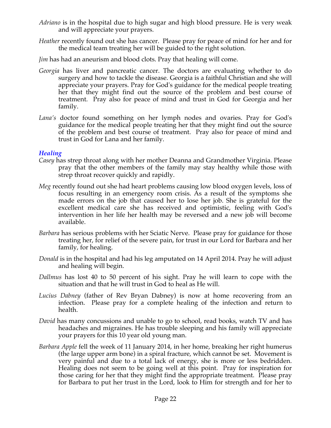- *Adriano* is in the hospital due to high sugar and high blood pressure. He is very weak and will appreciate your prayers.
- *Heather* recently found out she has cancer. Please pray for peace of mind for her and for the medical team treating her will be guided to the right solution.
- *Jim* has had an aneurism and blood clots. Pray that healing will come.
- *Georgia* has liver and pancreatic cancer. The doctors are evaluating whether to do surgery and how to tackle the disease. Georgia is a faithful Christian and she will appreciate your prayers. Pray for God's guidance for the medical people treating her that they might find out the source of the problem and best course of treatment. Pray also for peace of mind and trust in God for Georgia and her family.
- *Lana's* doctor found something on her lymph nodes and ovaries. Pray for God's guidance for the medical people treating her that they might find out the source of the problem and best course of treatment. Pray also for peace of mind and trust in God for Lana and her family.

#### *Healing*

- *Casey* has strep throat along with her mother Deanna and Grandmother Virginia. Please pray that the other members of the family may stay healthy while those with strep throat recover quickly and rapidly.
- *Meg* recently found out she had heart problems causing low blood oxygen levels, loss of focus resulting in an emergency room crisis. As a result of the symptoms she made errors on the job that caused her to lose her job. She is grateful for the excellent medical care she has received and optimistic, feeling with God's intervention in her life her health may be reversed and a new job will become available.
- *Barbara* has serious problems with her Sciatic Nerve. Please pray for guidance for those treating her, for relief of the severe pain, for trust in our Lord for Barbara and her family, for healing.
- *Donald* is in the hospital and had his leg amputated on 14 April 2014. Pray he will adjust and healing will begin.
- *Dallmus* has lost 40 to 50 percent of his sight. Pray he will learn to cope with the situation and that he will trust in God to heal as He will.
- *Lucius Dabney* (father of Rev Bryan Dabney) is now at home recovering from an infection. Please pray for a complete healing of the infection and return to health.
- *David* has many concussions and unable to go to school, read books, watch TV and has headaches and migraines. He has trouble sleeping and his family will appreciate your prayers for this 10 year old young man.
- *Barbara Apple* fell the week of 11 January 2014, in her home, breaking her right humerus (the large upper arm bone) in a spiral fracture, which cannot be set. Movement is very painful and due to a total lack of energy, she is more or less bedridden. Healing does not seem to be going well at this point. Pray for inspiration for those caring for her that they might find the appropriate treatment. Please pray for Barbara to put her trust in the Lord, look to Him for strength and for her to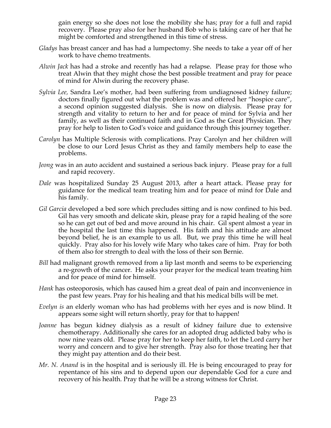gain energy so she does not lose the mobility she has; pray for a full and rapid recovery. Please pray also for her husband Bob who is taking care of her that he might be comforted and strengthened in this time of stress.

- *Gladys* has breast cancer and has had a lumpectomy. She needs to take a year off of her work to have chemo treatments.
- *Alwin Jack* has had a stroke and recently has had a relapse. Please pray for those who treat Alwin that they might chose the best possible treatment and pray for peace of mind for Alwin during the recovery phase.
- *Sylvia Lee,* Sandra Lee's mother, had been suffering from undiagnosed kidney failure; doctors finally figured out what the problem was and offered her "hospice care", a second opinion suggested dialysis. She is now on dialysis. Please pray for strength and vitality to return to her and for peace of mind for Sylvia and her family, as well as their continued faith and in God as the Great Physician. They pray for help to listen to God's voice and guidance through this journey together.
- *Carolyn* has Multiple Sclerosis with complications. Pray Carolyn and her children will be close to our Lord Jesus Christ as they and family members help to ease the problems.
- *Jeong* was in an auto accident and sustained a serious back injury. Please pray for a full and rapid recovery.
- *Dale* was hospitalized Sunday 25 August 2013, after a heart attack. Please pray for guidance for the medical team treating him and for peace of mind for Dale and his family.
- *Gil Garcia* developed a bed sore which precludes sitting and is now confined to his bed. Gil has very smooth and delicate skin, please pray for a rapid healing of the sore so he can get out of bed and move around in his chair. Gil spent almost a year in the hospital the last time this happened. His faith and his attitude are almost beyond belief, he is an example to us all. But, we pray this time he will heal quickly. Pray also for his lovely wife Mary who takes care of him. Pray for both of them also for strength to deal with the loss of their son Bernie.
- *Bill* had malignant growth removed from a lip last month and seems to be experiencing a re-growth of the cancer. He asks your prayer for the medical team treating him and for peace of mind for himself.
- *Hank* has osteoporosis, which has caused him a great deal of pain and inconvenience in the past few years. Pray for his healing and that his medical bills will be met.
- *Evelyn is* an elderly woman who has had problems with her eyes and is now blind. It appears some sight will return shortly, pray for that to happen!
- *Joanne* has begun kidney dialysis as a result of kidney failure due to extensive chemotherapy. Additionally she cares for an adopted drug addicted baby who is now nine years old. Please pray for her to keep her faith, to let the Lord carry her worry and concern and to give her strength. Pray also for those treating her that they might pay attention and do their best.
- *Mr. N. Anand* is in the hospital and is seriously ill. He is being encouraged to pray for repentance of his sins and to depend upon our dependable God for a cure and recovery of his health. Pray that he will be a strong witness for Christ.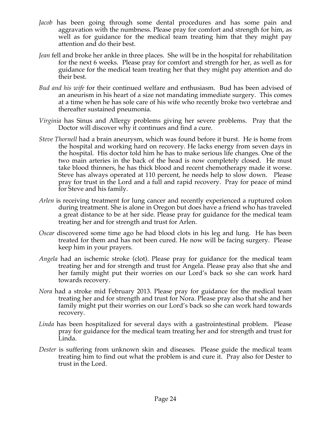- *Jacob* has been going through some dental procedures and has some pain and aggravation with the numbness. Please pray for comfort and strength for him, as well as for guidance for the medical team treating him that they might pay attention and do their best.
- *Jean* fell and broke her ankle in three places. She will be in the hospital for rehabilitation for the next 6 weeks. Please pray for comfort and strength for her, as well as for guidance for the medical team treating her that they might pay attention and do their best.
- *Bud and his wife* for their continued welfare and enthusiasm. Bud has been advised of an aneurism in his heart of a size not mandating immediate surgery. This comes at a time when he has sole care of his wife who recently broke two vertebrae and thereafter sustained pneumonia.
- *Virginia* has Sinus and Allergy problems giving her severe problems. Pray that the Doctor will discover why it continues and find a cure.
- *Steve Thornell* had a brain aneurysm, which was found before it burst. He is home from the hospital and working hard on recovery. He lacks energy from seven days in the hospital. His doctor told him he has to make serious life changes. One of the two main arteries in the back of the head is now completely closed. He must take blood thinners, he has thick blood and recent chemotherapy made it worse. Steve has always operated at 110 percent, he needs help to slow down. Please pray for trust in the Lord and a full and rapid recovery. Pray for peace of mind for Steve and his family.
- *Arlen* is receiving treatment for lung cancer and recently experienced a ruptured colon during treatment. She is alone in Oregon but does have a friend who has traveled a great distance to be at her side. Please pray for guidance for the medical team treating her and for strength and trust for Arlen.
- *Oscar* discovered some time ago he had blood clots in his leg and lung. He has been treated for them and has not been cured. He now will be facing surgery. Please keep him in your prayers.
- *Angela* had an ischemic stroke (clot). Please pray for guidance for the medical team treating her and for strength and trust for Angela. Please pray also that she and her family might put their worries on our Lord's back so she can work hard towards recovery.
- *Nora* had a stroke mid February 2013. Please pray for guidance for the medical team treating her and for strength and trust for Nora. Please pray also that she and her family might put their worries on our Lord's back so she can work hard towards recovery.
- *Linda* has been hospitalized for several days with a gastrointestinal problem. Please pray for guidance for the medical team treating her and for strength and trust for Linda.
- *Dester* is suffering from unknown skin and diseases. Please guide the medical team treating him to find out what the problem is and cure it. Pray also for Dester to trust in the Lord.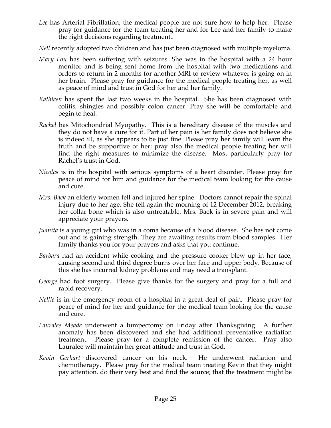- *Lee* has Arterial Fibrillation; the medical people are not sure how to help her. Please pray for guidance for the team treating her and for Lee and her family to make the right decisions regarding treatment..
- *Nell* recently adopted two children and has just been diagnosed with multiple myeloma.
- *Mary Lou* has been suffering with seizures. She was in the hospital with a 24 hour monitor and is being sent home from the hospital with two medications and orders to return in 2 months for another MRI to review whatever is going on in her brain. Please pray for guidance for the medical people treating her, as well as peace of mind and trust in God for her and her family.
- *Kathleen* has spent the last two weeks in the hospital. She has been diagnosed with colitis, shingles and possibly colon cancer. Pray she will be comfortable and begin to heal.
- *Rachel* has Mitochondrial Myopathy. This is a hereditary disease of the muscles and they do not have a cure for it. Part of her pain is her family does not believe she is indeed ill, as she appears to be just fine. Please pray her family will learn the truth and be supportive of her; pray also the medical people treating her will find the right measures to minimize the disease. Most particularly pray for Rachel's trust in God.
- *Nicolas* is in the hospital with serious symptoms of a heart disorder. Please pray for peace of mind for him and guidance for the medical team looking for the cause and cure.
- *Mrs. Baek* an elderly women fell and injured her spine. Doctors cannot repair the spinal injury due to her age. She fell again the morning of 12 December 2012, breaking her collar bone which is also untreatable. Mrs. Baek is in severe pain and will appreciate your prayers.
- *Juanita* is a young girl who was in a coma because of a blood disease. She has not come out and is gaining strength. They are awaiting results from blood samples. Her family thanks you for your prayers and asks that you continue.
- *Barbara* had an accident while cooking and the pressure cooker blew up in her face, causing second and third degree burns over her face and upper body. Because of this she has incurred kidney problems and may need a transplant.
- *George* had foot surgery. Please give thanks for the surgery and pray for a full and rapid recovery.
- *Nellie* is in the emergency room of a hospital in a great deal of pain. Please pray for peace of mind for her and guidance for the medical team looking for the cause and cure.
- *Lauralee Meade* underwent a lumpectomy on Friday after Thanksgiving. A further anomaly has been discovered and she had additional preventative radiation treatment. Please pray for a complete remission of the cancer. Pray also Lauralee will maintain her great attitude and trust in God.
- *Kevin Gerhart* discovered cancer on his neck. He underwent radiation and chemotherapy. Please pray for the medical team treating Kevin that they might pay attention, do their very best and find the source; that the treatment might be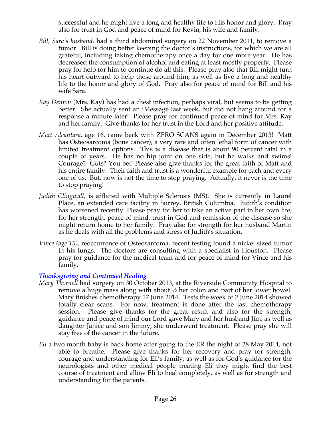successful and he might live a long and healthy life to His honor and glory. Pray also for trust in God and peace of mind for Kevin, his wife and family.

- *Bill, Sara's husband,* had a third abdominal surgery on 22 November 2011, to remove a tumor. Bill is doing better keeping the doctor's instructions, for which we are all grateful, including taking chemotherapy once a day for one more year. He has decreased the consumption of alcohol and eating at least mostly properly. Please pray for help for him to continue do all this. Please pray also that Bill might turn his heart outward to help those around him, as well as live a long and healthy life to the honor and glory of God. Pray also for peace of mind for Bill and his wife Sara.
- *Kay Denton* (Mrs. Kay) has had a chest infection, perhaps viral, but seems to be getting better. She actually sent an iMessage last week, but did not hang around for a response a minute later! Please pray for continued peace of mind for Mrs. Kay and her family. Give thanks for her trust in the Lord and her positive attitude.
- *Matt Alcantara*, age 16, came back with ZERO SCANS again in December 2013! Matt has Osteosarcoma (bone cancer), a very rare and often lethal form of cancer with limited treatment options. This is a disease that is about 90 percent fatal in a couple of years. He has no hip joint on one side, but he walks and swims! Courage? Guts? You bet! Please also give thanks for the great faith of Matt and his entire family. Their faith and trust is a wonderful example for each and every one of us. But, now is not the time to stop praying. Actually, it never is the time to stop praying!
- *Judith Clingwall*, is afflicted with Multiple Sclerosis (MS). She is currently in Laurel Place, an extended care facility in Surrey, British Columbia. Judith's condition has worsened recently. Please pray for her to take an active part in her own life, for her strength, peace of mind, trust in God and remission of the disease so she might return home to her family. Pray also for strength for her husband Martin as he deals with all the problems and stress of Judith's situation.
- *Vince (age 15),* reoccurrence of Osteosarcoma, recent testing found a nickel sized tumor in his lungs. The doctors are consulting with a specialist in Houston. Please pray for guidance for the medical team and for peace of mind for Vince and his family.

## *Thanksgiving and Continued Healing*

- *Mary Thornell* had surgery on 30 October 2013, at the Riverside Community Hospital to remove a huge mass along with about ½ her colon and part of her lower bowel. Mary finishes chemotherapy 17 June 2014. Tests the week of 2 June 2014 showed totally clear scans. For now, treatment is done after the last chemotherapy session. Please give thanks for the great result and also for the strength, guidance and peace of mind our Lord gave Mary and her husband Jim, as well as daughter Janice and son Jimmy, she underwent treatment. Please pray she will stay free of the cancer in the future.
- *Eli* a two month baby is back home after going to the ER the night of 28 May 2014, not able to breathe. Please give thanks for her recovery and pray for strength, courage and understanding for Eli's family; as well as for God's guidance for the neurologists and other medical people treating Eli they might find the best course of treatment and allow Eli to heal completely, as well as for strength and understanding for the parents.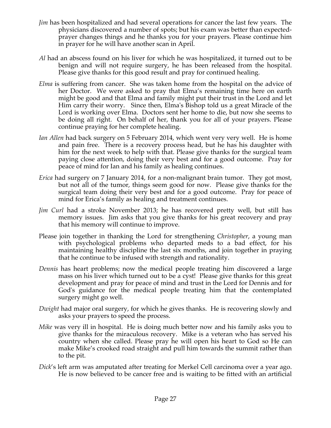- *Jim* has been hospitalized and had several operations for cancer the last few years. The physicians discovered a number of spots; but his exam was better than expectedprayer changes things and he thanks you for your prayers. Please continue him in prayer for he will have another scan in April.
- *Al* had an abscess found on his liver for which he was hospitalized, it turned out to be benign and will not require surgery, he has been released from the hospital. Please give thanks for this good result and pray for continued healing.
- *Elma* is suffering from cancer. She was taken home from the hospital on the advice of her Doctor. We were asked to pray that Elma's remaining time here on earth might be good and that Elma and family might put their trust in the Lord and let Him carry their worry. Since then, Elma's Bishop told us a great Miracle of the Lord is working over Elma. Doctors sent her home to die, but now she seems to be doing all right. On behalf of her, thank you for all of your prayers. Please continue praying for her complete healing.
- *Ian Allen* had back surgery on 5 February 2014, which went very very well. He is home and pain free. There is a recovery process head, but he has his daughter with him for the next week to help with that. Please give thanks for the surgical team paying close attention, doing their very best and for a good outcome. Pray for peace of mind for Ian and his family as healing continues.
- *Erica* had surgery on 7 January 2014, for a non-malignant brain tumor. They got most, but not all of the tumor, things seem good for now. Please give thanks for the surgical team doing their very best and for a good outcome. Pray for peace of mind for Erica's family as healing and treatment continues.
- *Jim Curl* had a stroke November 2013; he has recovered pretty well, but still has memory issues. Jim asks that you give thanks for his great recovery and pray that his memory will continue to improve.
- Please join together in thanking the Lord for strengthening *Christopher*, a young man with psychological problems who departed meds to a bad effect, for his maintaining healthy discipline the last six months, and join together in praying that he continue to be infused with strength and rationality.
- *Dennis* has heart problems; now the medical people treating him discovered a large mass on his liver which turned out to be a cyst! Please give thanks for this great development and pray for peace of mind and trust in the Lord for Dennis and for God's guidance for the medical people treating him that the contemplated surgery might go well.
- *Dwight* had major oral surgery, for which he gives thanks. He is recovering slowly and asks your prayers to speed the process.
- *Mike* was very ill in hospital. He is doing much better now and his family asks you to give thanks for the miraculous recovery. Mike is a veteran who has served his country when she called. Please pray he will open his heart to God so He can make Mike's crooked road straight and pull him towards the summit rather than to the pit.
- *Dick*'s left arm was amputated after treating for Merkel Cell carcinoma over a year ago. He is now believed to be cancer free and is waiting to be fitted with an artificial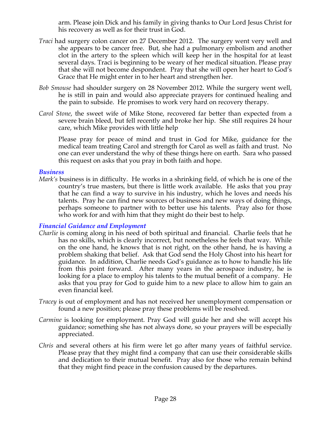arm. Please join Dick and his family in giving thanks to Our Lord Jesus Christ for his recovery as well as for their trust in God.

- *Traci* had surgery colon cancer on 27 December 2012. The surgery went very well and she appears to be cancer free. But, she had a pulmonary embolism and another clot in the artery to the spleen which will keep her in the hospital for at least several days. Traci is beginning to be weary of her medical situation. Please pray that she will not become despondent. Pray that she will open her heart to God's Grace that He might enter in to her heart and strengthen her.
- *Bob Smouse* had shoulder surgery on 28 November 2012. While the surgery went well, he is still in pain and would also appreciate prayers for continued healing and the pain to subside. He promises to work very hard on recovery therapy.
- *Carol Stone*, the sweet wife of Mike Stone, recovered far better than expected from a severe brain bleed, but fell recently and broke her hip. She still requires 24 hour care, which Mike provides with little help

Please pray for peace of mind and trust in God for Mike, guidance for the medical team treating Carol and strength for Carol as well as faith and trust. No one can ever understand the why of these things here on earth. Sara who passed this request on asks that you pray in both faith and hope.

#### *Business*

*Mark's* business is in difficulty. He works in a shrinking field, of which he is one of the country's true masters, but there is little work available. He asks that you pray that he can find a way to survive in his industry, which he loves and needs his talents. Pray he can find new sources of business and new ways of doing things, perhaps someone to partner with to better use his talents. Pray also for those who work for and with him that they might do their best to help.

### *Financial Guidance and Employment*

- *Charlie* is coming along in his need of both spiritual and financial. Charlie feels that he has no skills, which is clearly incorrect, but nonetheless he feels that way. While on the one hand, he knows that is not right, on the other hand, he is having a problem shaking that belief. Ask that God send the Holy Ghost into his heart for guidance. In addition, Charlie needs God's guidance as to how to handle his life from this point forward. After many years in the aerospace industry, he is looking for a place to employ his talents to the mutual benefit of a company. He asks that you pray for God to guide him to a new place to allow him to gain an even financial keel.
- *Tracey* is out of employment and has not received her unemployment compensation or found a new position; please pray these problems will be resolved.
- *Carmine* is looking for employment. Pray God will guide her and she will accept his guidance; something she has not always done, so your prayers will be especially appreciated.
- *Chris* and several others at his firm were let go after many years of faithful service. Please pray that they might find a company that can use their considerable skills and dedication to their mutual benefit. Pray also for those who remain behind that they might find peace in the confusion caused by the departures.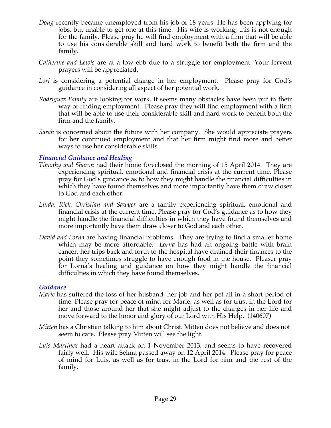- *Doug* recently became unemployed from his job of 18 years. He has been applying for jobs, but unable to get one at this time. His wife is working; this is not enough for the family. Please pray he will find employment with a firm that will be able to use his considerable skill and hard work to benefit both the firm and the family.
- *Catherine and Lewis* are at a low ebb due to a struggle for employment. Your fervent prayers will be appreciated.
- *Lori* is considering a potential change in her employment. Please pray for God's guidance in considering all aspect of her potential work.
- *Rodriguez Family* are looking for work. It seems many obstacles have been put in their way of finding employment. Please pray they will find employment with a firm that will be able to use their considerable skill and hard work to benefit both the firm and the family.
- *Sarah* is concerned about the future with her company. She would appreciate prayers for her continued employment and that her firm might find more and better ways to use her considerable skills.

### *Financial Guidance and Healing*

- *Timothy and Sharon* had their home foreclosed the morning of 15 April 2014. They are experiencing spiritual, emotional and financial crisis at the current time. Please pray for God's guidance as to how they might handle the financial difficulties in which they have found themselves and more importantly have them draw closer to God and each other.
- *Linda, Rick, Christian and Sawyer* are a family experiencing spiritual, emotional and financial crisis at the current time. Please pray for God's guidance as to how they might handle the financial difficulties in which they have found themselves and more importantly have them draw closer to God and each other.
- *David and Lorna* are having financial problems. They are trying to find a smaller home which may be more affordable. *Lorna* has had an ongoing battle with brain cancer, her trips back and forth to the hospital have drained their finances to the point they sometimes struggle to have enough food in the house. Pleaser pray for Lorna's healing and guidance on how they might handle the financial difficulties in which they have found themselves.

#### *Guidance*

- *Marie* has suffered the loss of her husband, her job and her pet all in a short period of time. Please pray for peace of mind for Marie, as well as for trust in the Lord for her and those around her that she might adjust to the changes in her life and move forward to the honor and glory of our Lord with His Help. (140607)
- *Mitten* has a Christian talking to him about Christ. Mitten does not believe and does not seem to care. Please pray Mitten will see the light.
- *Luis Martinez* had a heart attack on 1 November 2013, and seems to have recovered fairly well. His wife Selma passed away on 12 April 2014. Please pray for peace of mind for Luis, as well as for trust in the Lord for him and the rest of the family.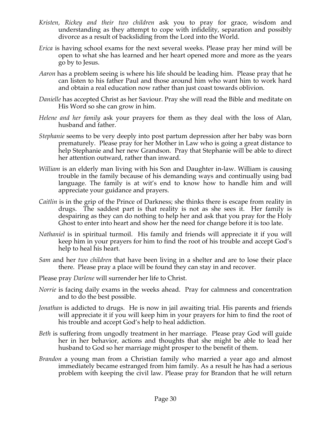- *Kristen, Rickey and their two children* ask you to pray for grace, wisdom and understanding as they attempt to cope with infidelity, separation and possibly divorce as a result of backsliding from the Lord into the World.
- *Erica* is having school exams for the next several weeks. Please pray her mind will be open to what she has learned and her heart opened more and more as the years go by to Jesus.
- *Aaron* has a problem seeing is where his life should be leading him. Please pray that he can listen to his father Paul and those around him who want him to work hard and obtain a real education now rather than just coast towards oblivion.
- *Danielle* has accepted Christ as her Saviour. Pray she will read the Bible and meditate on His Word so she can grow in him.
- *Helene and her family* ask your prayers for them as they deal with the loss of Alan, husband and father.
- *Stephanie* seems to be very deeply into post partum depression after her baby was born prematurely. Please pray for her Mother in Law who is going a great distance to help Stephanie and her new Grandson. Pray that Stephanie will be able to direct her attention outward, rather than inward.
- *William* is an elderly man living with his Son and Daughter in-law. William is causing trouble in the family because of his demanding ways and continually using bad language. The family is at wit's end to know how to handle him and will appreciate your guidance and prayers.
- *Caitlin* is in the grip of the Prince of Darkness; she thinks there is escape from reality in drugs. The saddest part is that reality is not as she sees it. Her family is despairing as they can do nothing to help her and ask that you pray for the Holy Ghost to enter into heart and show her the need for change before it is too late.
- *Nathaniel* is in spiritual turmoil. His family and friends will appreciate it if you will keep him in your prayers for him to find the root of his trouble and accept God's help to heal his heart.
- *Sam* and her *two children* that have been living in a shelter and are to lose their place there. Please pray a place will be found they can stay in and recover.
- Please pray *Darlene* will surrender her life to Christ.
- *Norrie* is facing daily exams in the weeks ahead. Pray for calmness and concentration and to do the best possible.
- *Jonathan* is addicted to drugs. He is now in jail awaiting trial. His parents and friends will appreciate it if you will keep him in your prayers for him to find the root of his trouble and accept God's help to heal addiction.
- *Beth* is suffering from ungodly treatment in her marriage. Please pray God will guide her in her behavior, actions and thoughts that she might be able to lead her husband to God so her marriage might prosper to the benefit of them.
- *Brandon* a young man from a Christian family who married a year ago and almost immediately became estranged from him family. As a result he has had a serious problem with keeping the civil law. Please pray for Brandon that he will return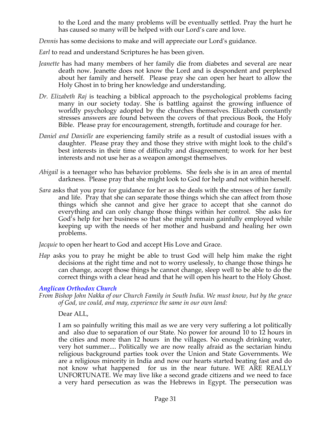to the Lord and the many problems will be eventually settled. Pray the hurt he has caused so many will be helped with our Lord's care and love.

*Dennis* has some decisions to make and will appreciate our Lord's guidance.

*Earl* to read and understand Scriptures he has been given.

- *Jeanette* has had many members of her family die from diabetes and several are near death now. Jeanette does not know the Lord and is despondent and perplexed about her family and herself. Please pray she can open her heart to allow the Holy Ghost in to bring her knowledge and understanding.
- *Dr. Elizabeth Raj* is teaching a biblical approach to the psychological problems facing many in our society today. She is battling against the growing influence of worldly psychology adopted by the churches themselves. Elizabeth constantly stresses answers are found between the covers of that precious Book, the Holy Bible. Please pray for encouragement, strength, fortitude and courage for her.
- *Daniel and Danielle* are experiencing family strife as a result of custodial issues with a daughter. Please pray they and those they strive with might look to the child's best interests in their time of difficulty and disagreement; to work for her best interests and not use her as a weapon amongst themselves.
- *Abigail* is a teenager who has behavior problems. She feels she is in an area of mental darkness. Please pray that she might look to God for help and not within herself.
- *Sara* asks that you pray for guidance for her as she deals with the stresses of her family and life. Pray that she can separate those things which she can affect from those things which she cannot and give her grace to accept that she cannot do everything and can only change those things within her control. She asks for God's help for her business so that she might remain gainfully employed while keeping up with the needs of her mother and husband and healing her own problems.

*Jacquie* to open her heart to God and accept His Love and Grace.

*Hap* asks you to pray he might be able to trust God will help him make the right decisions at the right time and not to worry uselessly, to change those things he can change, accept those things he cannot change, sleep well to be able to do the correct things with a clear head and that he will open his heart to the Holy Ghost.

### *Anglican Orthodox Church*

*From Bishop John Nakka of our Church Family in South India. We must know, but by the grace of God, we could, and may, experience the same in our own land:*

Dear ALL,

I am so painfully writing this mail as we are very very suffering a lot politically and also due to separation of our State. No power for around 10 to 12 hours in the cities and more than 12 hours in the villages. No enough drinking water, very hot summer.... Politically we are now really afraid as the sectarian hindu religious background parties took over the Union and State Governments. We are a religious minority in India and now our hearts started beating fast and do not know what happened for us in the near future. WE ARE REALLY UNFORTUNATE. We may live like a second grade citizens and we need to face a very hard persecution as was the Hebrews in Egypt. The persecution was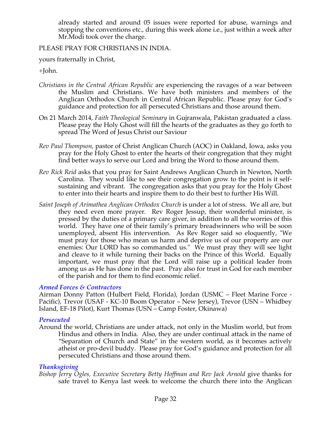already started and around 05 issues were reported for abuse, warnings and stopping the conventions etc., during this week alone i.e., just within a week after Mr.Modi took over the charge.

### PLEASE PRAY FOR CHRISTIANS IN INDIA.

yours fraternally in Christ,

+John.

- *Christians in the Central African Republic* are experiencing the ravages of a war between the Muslim and Christians. We have both ministers and members of the Anglican Orthodox Church in Central African Republic. Please pray for God's guidance and protection for all persecuted Christians and those around them.
- On 21 March 2014, *Faith Theological Seminary* in Gujranwala, Pakistan graduated a class. Please pray the Holy Ghost will fill the hearts of the graduates as they go forth to spread The Word of Jesus Christ our Saviour
- *Rev Paul Thompson,* pastor of Christ Anglican Church (AOC) in Oakland, Iowa, asks you pray for the Holy Ghost to enter the hearts of their congregation that they might find better ways to serve our Lord and bring the Word to those around them.
- *Rev Rick Reid* asks that you pray for Saint Andrews Anglican Church in Newton, North Carolina. They would like to see their congregation grow to the point is it selfsustaining and vibrant. The congregation asks that you pray for the Holy Ghost to enter into their hearts and inspire them to do their best to further His Will.
- *Saint Joseph of Arimathea Anglican Orthodox Church* is under a lot of stress. We all are, but they need even more prayer. Rev Roger Jessup, their wonderful minister, is pressed by the duties of a primary care giver, in addition to all the worries of this world. They have one of their family's primary breadwinners who will be soon unemployed, absent His intervention. As Rev Roger said so eloquently, "We must pray for those who mean us harm and deprive us of our property are our enemies: Our LORD has so commanded us." We must pray they will see light and cleave to it while turning their backs on the Prince of this World. Equally important, we must pray that the Lord will raise up a political leader from among us as He has done in the past. Pray also for trust in God for each member of the parish and for them to find economic relief.

### *Armed Forces & Contractors*

Airman Donny Patton (Hulbert Field, Florida), Jordan (USMC – Fleet Marine Force - Pacific), Trevor (USAF - KC-10 Boom Operator – New Jersey), Trevor (USN – Whidbey Island, EF-18 Pilot), Kurt Thomas (USN – Camp Foster, Okinawa)

### *Persecuted*

Around the world, Christians are under attack, not only in the Muslim world, but from Hindus and others in India. Also, they are under continual attack in the name of "Separation of Church and State" in the western world, as it becomes actively atheist or pro-devil buddy. Please pray for God's guidance and protection for all persecuted Christians and those around them.

## *Thanksgiving*

*Bishop Jerry Ogles, Executive Secretary Betty Hoffman and Rev Jack Arnold* give thanks for safe travel to Kenya last week to welcome the church there into the Anglican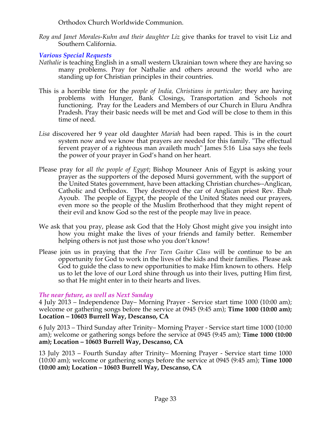Orthodox Church Worldwide Communion.

*Roy and Janet Morales-Kuhn and their daughter Liz* give thanks for travel to visit Liz and Southern California.

*Various Special Requests*

- *Nathalie* is teaching English in a small western Ukrainian town where they are having so many problems. Pray for Nathalie and others around the world who are standing up for Christian principles in their countries.
- This is a horrible time for the *people of India, Christians in particular*; they are having problems with Hunger, Bank Closings, Transportation and Schools not functioning. Pray for the Leaders and Members of our Church in Eluru Andhra Pradesh. Pray their basic needs will be met and God will be close to them in this time of need.
- *Lisa* discovered her 9 year old daughter *Mariah* had been raped. This is in the court system now and we know that prayers are needed for this family. "The effectual fervent prayer of a righteous man availeth much" James 5:16 Lisa says she feels the power of your prayer in God's hand on her heart.
- Please pray for *all the people of Egypt*; Bishop Mouneer Anis of Egypt is asking your prayer as the supporters of the deposed Mursi government, with the support of the United States government, have been attacking Christian churches--Anglican, Catholic and Orthodox. They destroyed the car of Anglican priest Rev. Ehab Ayoub. The people of Egypt, the people of the United States need our prayers, even more so the people of the Muslim Brotherhood that they might repent of their evil and know God so the rest of the people may live in peace.
- We ask that you pray, please ask God that the Holy Ghost might give you insight into how you might make the lives of your friends and family better. Remember helping others is not just those who you don't know!
- Please join us in praying that the *Free Teen Guitar Class* will be continue to be an opportunity for God to work in the lives of the kids and their families. Please ask God to guide the class to new opportunities to make Him known to others. Help us to let the love of our Lord shine through us into their lives, putting Him first, so that He might enter in to their hearts and lives.

# *The near future, as well as Next Sunday*

4 July 2013 – Independence Day– Morning Prayer - Service start time 1000 (10:00 am); welcome or gathering songs before the service at 0945 (9:45 am); **Time 1000 (10:00 am); Location – 10603 Burrell Way, Descanso, CA**

6 July 2013 – Third Sunday after Trinity– Morning Prayer - Service start time 1000 (10:00 am); welcome or gathering songs before the service at 0945 (9:45 am); **Time 1000 (10:00 am); Location – 10603 Burrell Way, Descanso, CA**

13 July 2013 – Fourth Sunday after Trinity– Morning Prayer - Service start time 1000 (10:00 am); welcome or gathering songs before the service at 0945 (9:45 am); **Time 1000 (10:00 am); Location – 10603 Burrell Way, Descanso, CA**